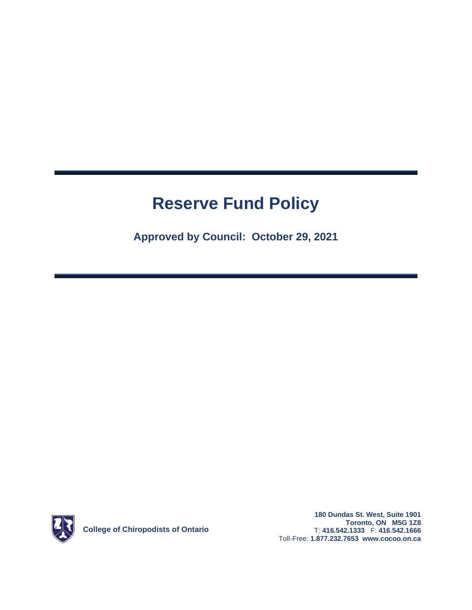## **Reserve Fund Policy**

**Approved by Council: October 29, 2021**



**180 Dundas St. West, Suite 1901 Toronto, ON M5G 1Z8** T: **416.542.1333** F: **416.542.1666** Toll-Free: **1.877.232.7653 www.cocoo.on.ca**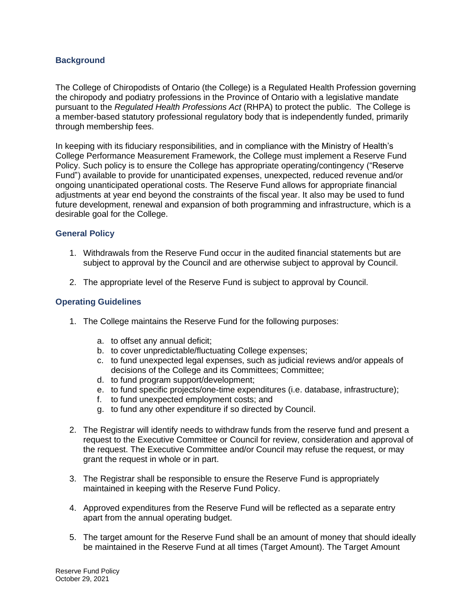## **Background**

The College of Chiropodists of Ontario (the College) is a Regulated Health Profession governing the chiropody and podiatry professions in the Province of Ontario with a legislative mandate pursuant to the *Regulated Health Professions Act* (RHPA) to protect the public. The College is a member-based statutory professional regulatory body that is independently funded, primarily through membership fees.

In keeping with its fiduciary responsibilities, and in compliance with the Ministry of Health's College Performance Measurement Framework, the College must implement a Reserve Fund Policy. Such policy is to ensure the College has appropriate operating/contingency ("Reserve Fund") available to provide for unanticipated expenses, unexpected, reduced revenue and/or ongoing unanticipated operational costs. The Reserve Fund allows for appropriate financial adjustments at year end beyond the constraints of the fiscal year. It also may be used to fund future development, renewal and expansion of both programming and infrastructure, which is a desirable goal for the College.

## **General Policy**

- 1. Withdrawals from the Reserve Fund occur in the audited financial statements but are subject to approval by the Council and are otherwise subject to approval by Council.
- 2. The appropriate level of the Reserve Fund is subject to approval by Council.

## **Operating Guidelines**

- 1. The College maintains the Reserve Fund for the following purposes:
	- a. to offset any annual deficit;
	- b. to cover unpredictable/fluctuating College expenses;
	- c. to fund unexpected legal expenses, such as judicial reviews and/or appeals of decisions of the College and its Committees; Committee;
	- d. to fund program support/development;
	- e. to fund specific projects/one-time expenditures (i.e. database, infrastructure);
	- f. to fund unexpected employment costs; and
	- g. to fund any other expenditure if so directed by Council.
- 2. The Registrar will identify needs to withdraw funds from the reserve fund and present a request to the Executive Committee or Council for review, consideration and approval of the request. The Executive Committee and/or Council may refuse the request, or may grant the request in whole or in part.
- 3. The Registrar shall be responsible to ensure the Reserve Fund is appropriately maintained in keeping with the Reserve Fund Policy.
- 4. Approved expenditures from the Reserve Fund will be reflected as a separate entry apart from the annual operating budget.
- 5. The target amount for the Reserve Fund shall be an amount of money that should ideally be maintained in the Reserve Fund at all times (Target Amount). The Target Amount